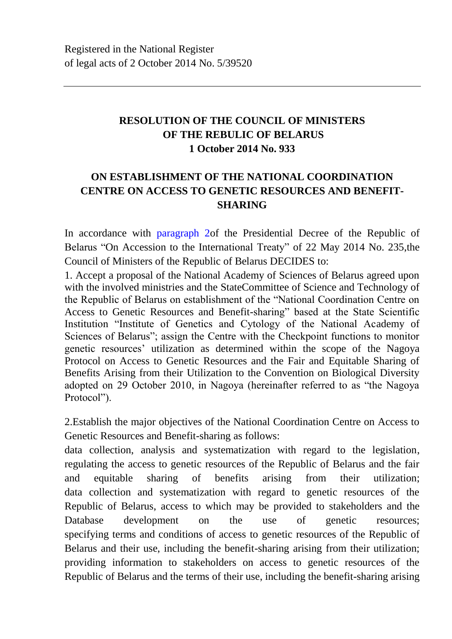## **RESOLUTION OF THE COUNCIL OF MINISTERS OF THE REBULIC OF BELARUS 1 October 2014 No. 933**

## **ON ESTABLISHMENT OF THE NATIONAL COORDINATION CENTRE ON ACCESS TO GENETIC RESOURCES AND BENEFIT-SHARING**

In accordance with paragraph 2of the Presidential Decree of the Republic of Belarus "On Accession to the International Treaty" of 22 May 2014 No. 235,the Council of Ministers of the Republic of Belarus DECIDES to:

1. Accept a proposal of the National Academy of Sciences of Belarus agreed upon with the involved ministries and the StateCommittee of Science and Technology of the Republic of Belarus on establishment of the "National Coordination Centre on Access to Genetic Resources and Benefit-sharing" based at the State Scientific Institution "Institute of Genetics and Cytology of the National Academy of Sciences of Belarus"; assign the Centre with the Checkpoint functions to monitor genetic resources' utilization as determined within the scope of the Nagoya Protocol on Access to Genetic Resources and the Fair and Equitable Sharing of Benefits Arising from their Utilization to the Convention on Biological Diversity adopted on 29 October 2010, in Nagoya (hereinafter referred to as "the Nagoya Protocol").

2.Establish the major objectives of the National Coordination Centre on Access to Genetic Resources and Benefit-sharing as follows:

data collection, analysis and systematization with regard to the legislation, regulating the access to genetic resources of the Republic of Belarus and the fair and equitable sharing of benefits arising from their utilization; data collection and systematization with regard to genetic resources of the Republic of Belarus, access to which may be provided to stakeholders and the Database development on the use of genetic resources; specifying terms and conditions of access to genetic resources of the Republic of Belarus and their use, including the benefit-sharing arising from their utilization; providing information to stakeholders on access to genetic resources of the Republic of Belarus and the terms of their use, including the benefit-sharing arising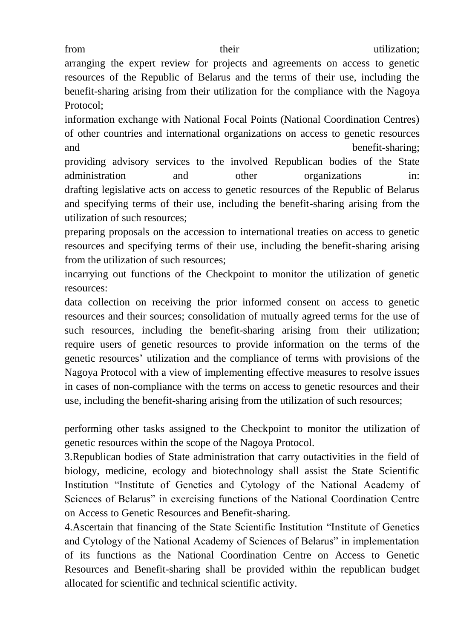arranging the expert review for projects and agreements on access to genetic resources of the Republic of Belarus and the terms of their use, including the benefit-sharing arising from their utilization for the compliance with the Nagoya Protocol;

information exchange with National Focal Points (National Coordination Centres) of other countries and international organizations on access to genetic resources and benefit-sharing;

providing advisory services to the involved Republican bodies of the State administration and other organizations in: drafting legislative acts on access to genetic resources of the Republic of Belarus and specifying terms of their use, including the benefit-sharing arising from the utilization of such resources;

preparing proposals on the accession to international treaties on access to genetic resources and specifying terms of their use, including the benefit-sharing arising from the utilization of such resources;

incarrying out functions of the Checkpoint to monitor the utilization of genetic resources:

data collection on receiving the prior informed consent on access to genetic resources and their sources; consolidation of mutually agreed terms for the use of such resources, including the benefit-sharing arising from their utilization; require users of genetic resources to provide information on the terms of the genetic resources' utilization and the compliance of terms with provisions of the Nagoya Protocol with a view of implementing effective measures to resolve issues in cases of non-compliance with the terms on access to genetic resources and their use, including the benefit-sharing arising from the utilization of such resources;

performing other tasks assigned to the Checkpoint to monitor the utilization of genetic resources within the scope of the Nagoya Protocol.

3.Republican bodies of State administration that carry outactivities in the field of biology, medicine, ecology and biotechnology shall assist the State Scientific Institution "Institute of Genetics and Cytology of the National Academy of Sciences of Belarus" in exercising functions of the National Coordination Centre on Access to Genetic Resources and Benefit-sharing.

4.Ascertain that financing of the State Scientific Institution "Institute of Genetics and Cytology of the National Academy of Sciences of Belarus" in implementation of its functions as the National Coordination Centre on Access to Genetic Resources and Benefit-sharing shall be provided within the republican budget allocated for scientific and technical scientific activity.